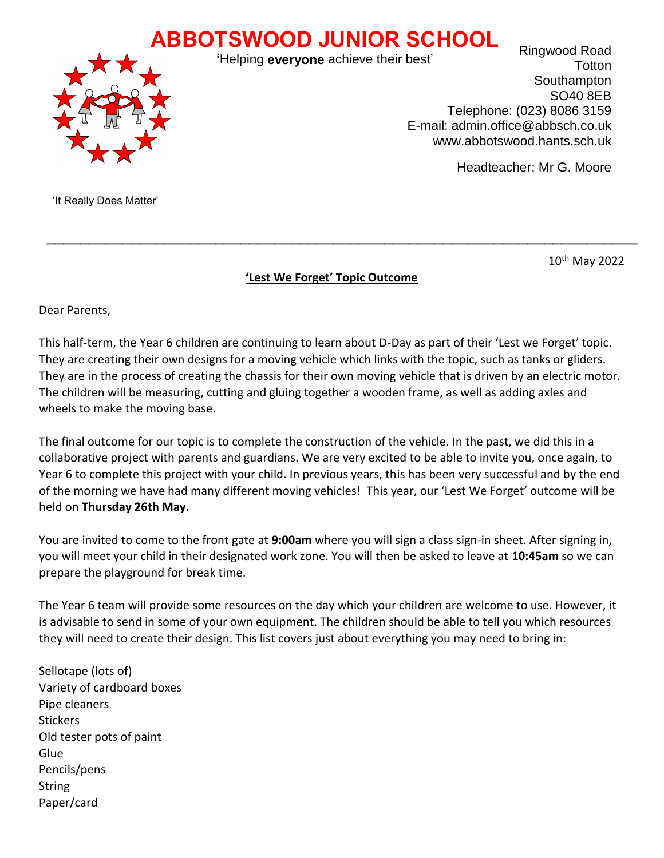## **ABBOTSWOOD JUNIOR SCHOOL**



'Helping **everyone** achieve their best'

Ringwood Road **Totton Southampton** SO40 8EB Telephone: (023) 8086 3159 E-mail: admin.office@abbsch.co.uk www.abbotswood.hants.sch.uk

Headteacher: Mr G. Moore

'It Really Does Matter'

10th May 2022

## **'Lest We Forget' Topic Outcome**

 $\mathcal{L}_\text{max}$  , and the contract of the contract of the contract of the contract of the contract of the contract of the contract of the contract of the contract of the contract of the contract of the contract of the contr

Dear Parents,

This half-term, the Year 6 children are continuing to learn about D-Day as part of their 'Lest we Forget' topic. They are creating their own designs for a moving vehicle which links with the topic, such as tanks or gliders. They are in the process of creating the chassis for their own moving vehicle that is driven by an electric motor. The children will be measuring, cutting and gluing together a wooden frame, as well as adding axles and wheels to make the moving base.

The final outcome for our topic is to complete the construction of the vehicle. In the past, we did this in a collaborative project with parents and guardians. We are very excited to be able to invite you, once again, to Year 6 to complete this project with your child. In previous years, this has been very successful and by the end of the morning we have had many different moving vehicles! This year, our 'Lest We Forget' outcome will be held on **Thursday 26th May.**

You are invited to come to the front gate at **9:00am** where you will sign a class sign-in sheet. After signing in, you will meet your child in their designated work zone. You will then be asked to leave at **10:45am** so we can prepare the playground for break time.

The Year 6 team will provide some resources on the day which your children are welcome to use. However, it is advisable to send in some of your own equipment. The children should be able to tell you which resources they will need to create their design. This list covers just about everything you may need to bring in:

Sellotape (lots of) Variety of cardboard boxes Pipe cleaners **Stickers** Old tester pots of paint Glue Pencils/pens **String** Paper/card